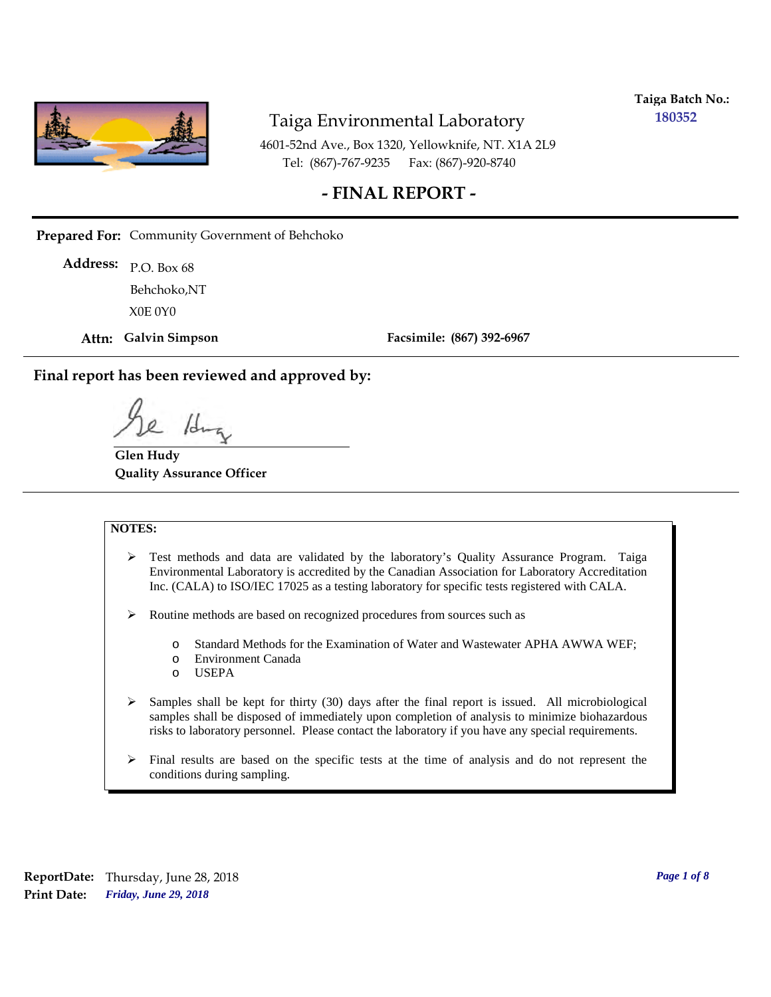

**Taiga Batch No.: 180352**

4601-52nd Ave., Box 1320, Yellowknife, NT. X1A 2L9 Tel: (867)-767-9235 Fax: (867)-920-8740

### **- FINAL REPORT -**

**Prepared For:** Community Government of Behchoko

P.O. Box 68 **Address:** X0E 0Y0 Behchoko,NT

**Attn: Galvin Simpson**

**Facsimile: (867) 392-6967**

**Final report has been reviewed and approved by:**

/d.

**Glen Hudy Quality Assurance Officer**

#### **NOTES:**

- $\triangleright$  Test methods and data are validated by the laboratory's Quality Assurance Program. Taiga Environmental Laboratory is accredited by the Canadian Association for Laboratory Accreditation Inc. (CALA) to ISO/IEC 17025 as a testing laboratory for specific tests registered with CALA.
- Routine methods are based on recognized procedures from sources such as
	- o Standard Methods for the Examination of Water and Wastewater APHA AWWA WEF;
	- o Environment Canada
	- o USEPA
- $\triangleright$  Samples shall be kept for thirty (30) days after the final report is issued. All microbiological samples shall be disposed of immediately upon completion of analysis to minimize biohazardous risks to laboratory personnel. Please contact the laboratory if you have any special requirements.
- $\triangleright$  Final results are based on the specific tests at the time of analysis and do not represent the conditions during sampling.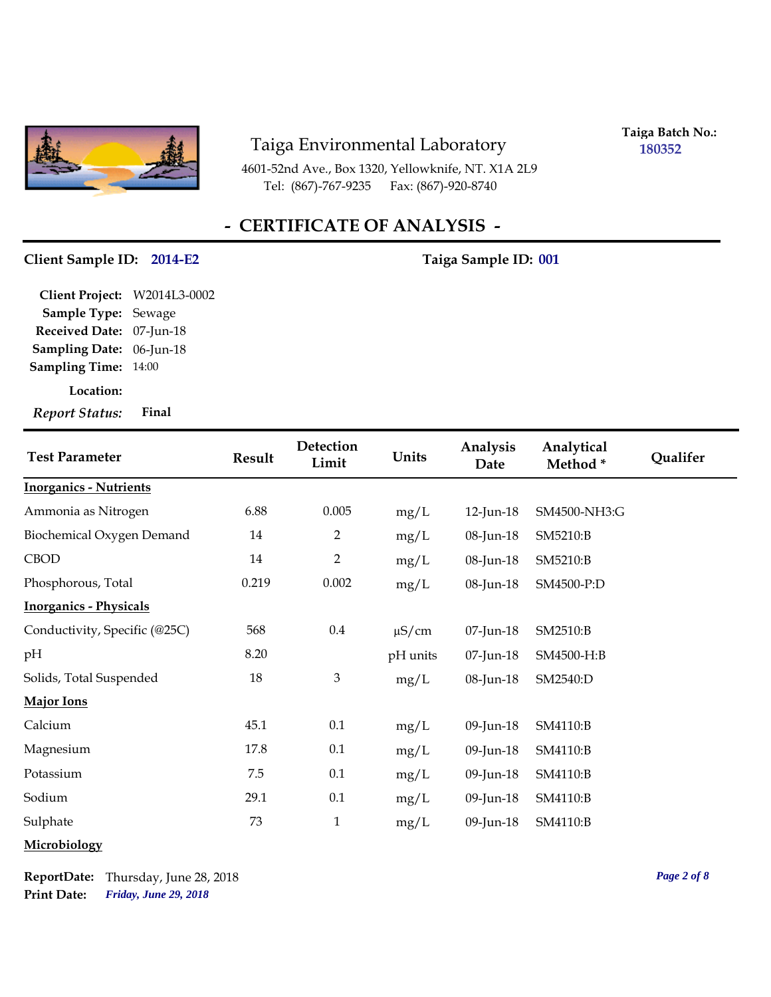

4601-52nd Ave., Box 1320, Yellowknife, NT. X1A 2L9 Tel: (867)-767-9235 Fax: (867)-920-8740

**Taiga Batch No.: 180352**

## **- CERTIFICATE OF ANALYSIS -**

#### **Client Sample ID: 2014-E2 Taiga Sample ID: 001**

**Location: Sampling Date:** 06-Jun-18 **Received Date:** 07-Jun-18 **Client Project:** W2014L3-0002 **Sample Type:** Sewage **Sampling Time:** 14:00 *Report Status:* **Final**

| <b>Test Parameter</b>         | <b>Result</b> | Detection<br>Limit | Units      | Analysis<br>Date | Analytical<br>Method* | <b>Qualifer</b> |
|-------------------------------|---------------|--------------------|------------|------------------|-----------------------|-----------------|
| <b>Inorganics - Nutrients</b> |               |                    |            |                  |                       |                 |
| Ammonia as Nitrogen           | 6.88          | 0.005              | mg/L       | 12-Jun-18        | SM4500-NH3:G          |                 |
| Biochemical Oxygen Demand     | 14            | $\overline{2}$     | mg/L       | 08-Jun-18        | SM5210:B              |                 |
| <b>CBOD</b>                   | 14            | $\overline{2}$     | mg/L       | 08-Jun-18        | SM5210:B              |                 |
| Phosphorous, Total            | 0.219         | 0.002              | mg/L       | 08-Jun-18        | SM4500-P:D            |                 |
| <b>Inorganics - Physicals</b> |               |                    |            |                  |                       |                 |
| Conductivity, Specific (@25C) | 568           | $0.4\,$            | $\mu$ S/cm | 07-Jun-18        | SM2510:B              |                 |
| pH                            | 8.20          |                    | pH units   | 07-Jun-18        | SM4500-H:B            |                 |
| Solids, Total Suspended       | 18            | $\mathfrak{Z}$     | mg/L       | 08-Jun-18        | SM2540:D              |                 |
| Major Ions                    |               |                    |            |                  |                       |                 |
| Calcium                       | 45.1          | 0.1                | mg/L       | 09-Jun-18        | SM4110:B              |                 |
| Magnesium                     | 17.8          | 0.1                | mg/L       | 09-Jun-18        | SM4110:B              |                 |
| Potassium                     | 7.5           | 0.1                | mg/L       | 09-Jun-18        | SM4110:B              |                 |
| Sodium                        | 29.1          | 0.1                | mg/L       | 09-Jun-18        | SM4110:B              |                 |
| Sulphate                      | 73            | $\mathbf{1}$       | mg/L       | 09-Jun-18        | SM4110:B              |                 |
| Microbiology                  |               |                    |            |                  |                       |                 |

*Friday, June 29, 2018* **Print Date: ReportDate:** Thursday, June 28, 2018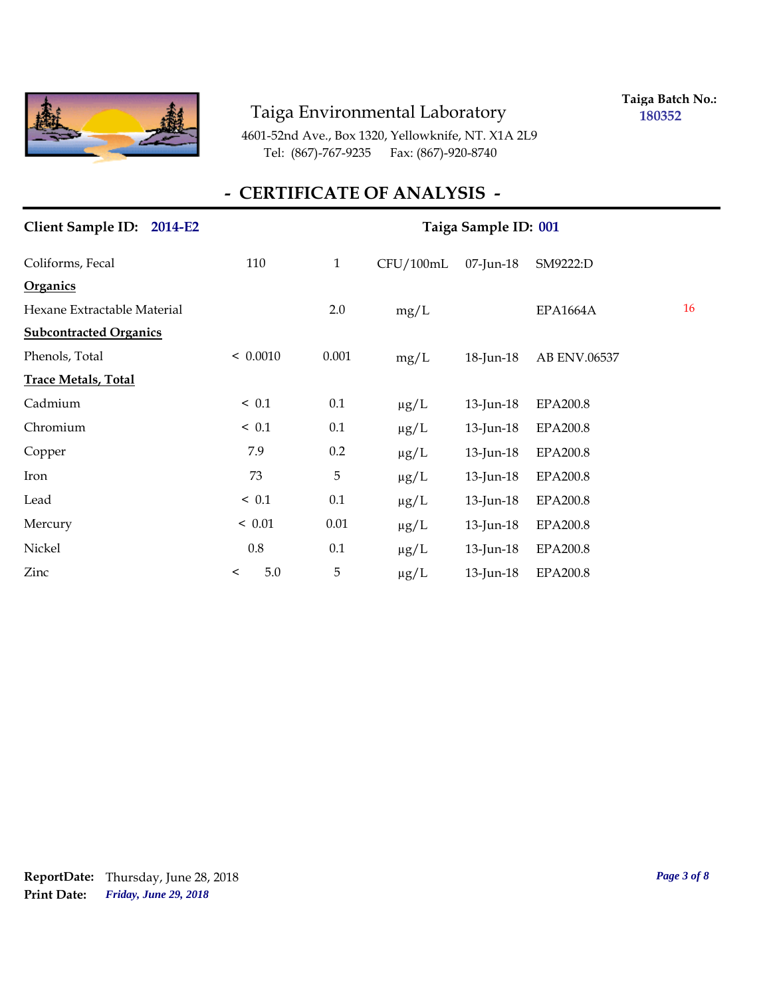

**Taiga Batch No.: 180352**

4601-52nd Ave., Box 1320, Yellowknife, NT. X1A 2L9 Tel: (867)-767-9235 Fax: (867)-920-8740

## **- CERTIFICATE OF ANALYSIS -**

| Client Sample ID: 2014-E2     | Taiga Sample ID: 001 |              |           |                 |                 |    |  |
|-------------------------------|----------------------|--------------|-----------|-----------------|-----------------|----|--|
| Coliforms, Fecal              | 110                  | $\mathbf{1}$ | CFU/100mL | 07-Jun-18       | SM9222:D        |    |  |
| <b>Organics</b>               |                      |              |           |                 |                 |    |  |
| Hexane Extractable Material   |                      | 2.0          | mg/L      |                 | <b>EPA1664A</b> | 16 |  |
| <b>Subcontracted Organics</b> |                      |              |           |                 |                 |    |  |
| Phenols, Total                | < 0.0010             | 0.001        | mg/L      | 18-Jun-18       | AB ENV.06537    |    |  |
| <b>Trace Metals, Total</b>    |                      |              |           |                 |                 |    |  |
| Cadmium                       | ~< 0.1               | 0.1          | $\mu$ g/L | $13$ -Jun- $18$ | EPA200.8        |    |  |
| Chromium                      | ~< 0.1               | 0.1          | $\mu$ g/L | 13-Jun-18       | <b>EPA200.8</b> |    |  |
| Copper                        | 7.9                  | 0.2          | $\mu g/L$ | 13-Jun-18       | <b>EPA200.8</b> |    |  |
| Iron                          | 73                   | 5            | $\mu$ g/L | 13-Jun-18       | <b>EPA200.8</b> |    |  |
| Lead                          | ~< 0.1               | 0.1          | $\mu g/L$ | 13-Jun-18       | <b>EPA200.8</b> |    |  |
| Mercury                       | < 0.01               | 0.01         | $\mu g/L$ | 13-Jun-18       | <b>EPA200.8</b> |    |  |
| Nickel                        | 0.8                  | 0.1          | $\mu$ g/L | 13-Jun-18       | <b>EPA200.8</b> |    |  |
| Zinc                          | 5.0<br>$\,<\,$       | $\mathbf 5$  | $\mu g/L$ | 13-Jun-18       | <b>EPA200.8</b> |    |  |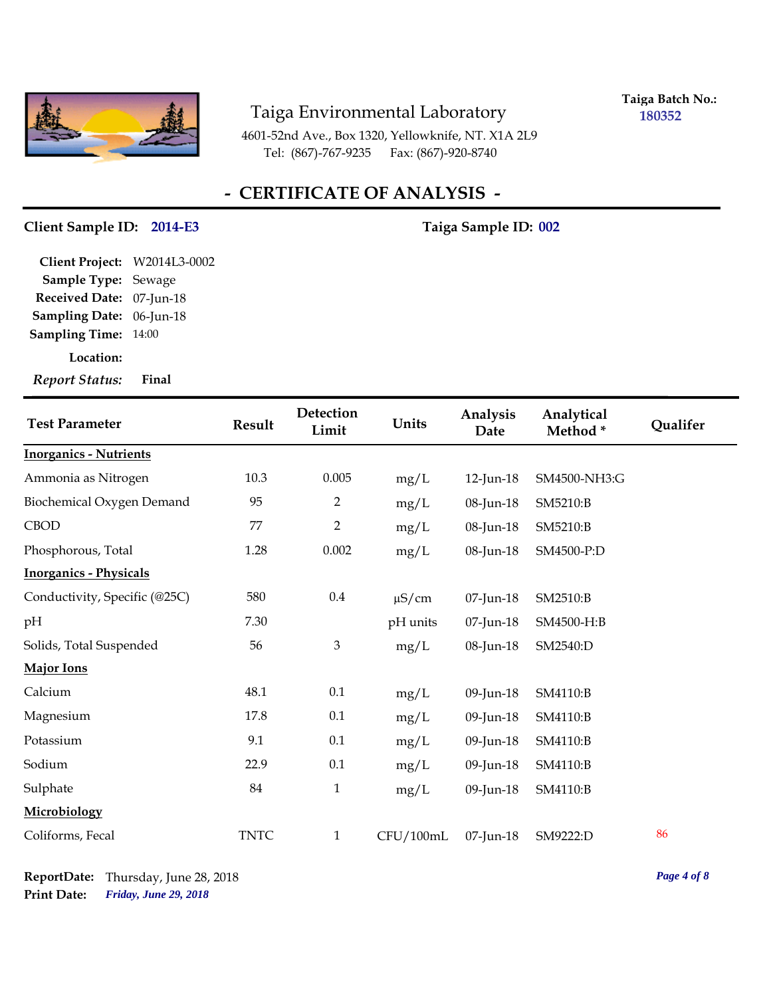

**Taiga Batch No.: 180352**

4601-52nd Ave., Box 1320, Yellowknife, NT. X1A 2L9 Tel: (867)-767-9235 Fax: (867)-920-8740

## **- CERTIFICATE OF ANALYSIS -**

#### **Client Sample ID: 2014-E3 Taiga Sample ID: 002**

**Location: Sampling Date:** 06-Jun-18 **Received Date:** 07-Jun-18 **Client Project:** W2014L3-0002 **Sample Type:** Sewage **Sampling Time:** 14:00

*Report Status:* **Final**

| <b>Test Parameter</b>         | <b>Result</b> | Detection<br>Limit | Units      | Analysis<br>Date | Analytical<br>Method* | Qualifer |
|-------------------------------|---------------|--------------------|------------|------------------|-----------------------|----------|
| <b>Inorganics - Nutrients</b> |               |                    |            |                  |                       |          |
| Ammonia as Nitrogen           | 10.3          | 0.005              | mg/L       | 12-Jun-18        | SM4500-NH3:G          |          |
| Biochemical Oxygen Demand     | 95            | $\overline{2}$     | mg/L       | 08-Jun-18        | SM5210:B              |          |
| <b>CBOD</b>                   | 77            | $\overline{2}$     | mg/L       | 08-Jun-18        | SM5210:B              |          |
| Phosphorous, Total            | 1.28          | 0.002              | mg/L       | 08-Jun-18        | SM4500-P:D            |          |
| <b>Inorganics - Physicals</b> |               |                    |            |                  |                       |          |
| Conductivity, Specific (@25C) | 580           | $0.4\,$            | $\mu$ S/cm | 07-Jun-18        | SM2510:B              |          |
| pH                            | 7.30          |                    | pH units   | 07-Jun-18        | SM4500-H:B            |          |
| Solids, Total Suspended       | 56            | $\mathfrak{Z}$     | mg/L       | 08-Jun-18        | SM2540:D              |          |
| <b>Major Ions</b>             |               |                    |            |                  |                       |          |
| Calcium                       | 48.1          | 0.1                | mg/L       | 09-Jun-18        | SM4110:B              |          |
| Magnesium                     | 17.8          | 0.1                | mg/L       | 09-Jun-18        | SM4110:B              |          |
| Potassium                     | 9.1           | 0.1                | mg/L       | 09-Jun-18        | SM4110:B              |          |
| Sodium                        | 22.9          | 0.1                | mg/L       | 09-Jun-18        | SM4110:B              |          |
| Sulphate                      | 84            | $\mathbf{1}$       | mg/L       | 09-Jun-18        | SM4110:B              |          |
| Microbiology                  |               |                    |            |                  |                       |          |
| Coliforms, Fecal              | <b>TNTC</b>   | $\mathbf{1}$       | CFU/100mL  | 07-Jun-18        | SM9222:D              | 86       |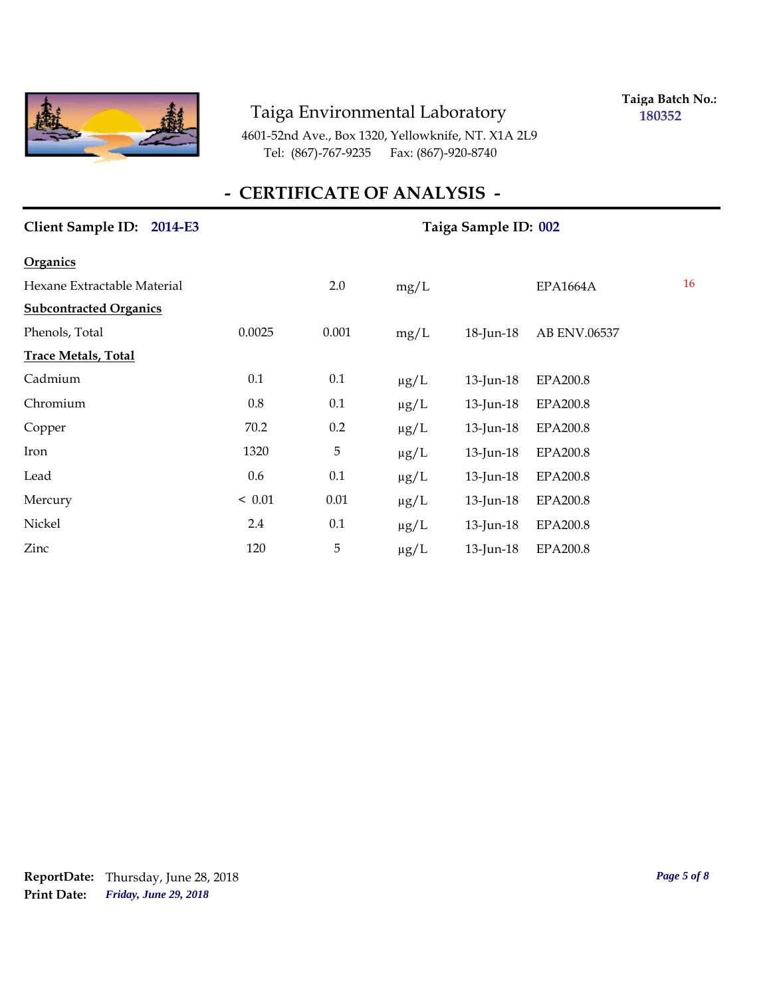

**Taiga Batch No.: 180352**

4601-52nd Ave., Box 1320, Yellowknife, NT. X1A 2L9 Tel: (867)-767-9235 Fax: (867)-920-8740

## **- CERTIFICATE OF ANALYSIS -**

| Client Sample ID: 2014-E3     |        | Taiga Sample ID: 002 |           |                 |                 |                 |
|-------------------------------|--------|----------------------|-----------|-----------------|-----------------|-----------------|
| <b>Organics</b>               |        |                      |           |                 |                 |                 |
| Hexane Extractable Material   |        | 2.0                  | mg/L      |                 | <b>EPA1664A</b> | 16 <sup>1</sup> |
| <b>Subcontracted Organics</b> |        |                      |           |                 |                 |                 |
| Phenols, Total                | 0.0025 | 0.001                | mg/L      | 18-Jun-18       | AB ENV.06537    |                 |
| <b>Trace Metals, Total</b>    |        |                      |           |                 |                 |                 |
| Cadmium                       | 0.1    | 0.1                  | $\mu g/L$ | 13-Jun-18       | <b>EPA200.8</b> |                 |
| Chromium                      | 0.8    | 0.1                  | $\mu g/L$ | $13$ -Jun- $18$ | <b>EPA200.8</b> |                 |
| Copper                        | 70.2   | 0.2                  | $\mu g/L$ | 13-Jun-18       | <b>EPA200.8</b> |                 |
| Iron                          | 1320   | 5                    | $\mu g/L$ | 13-Jun-18       | <b>EPA200.8</b> |                 |
| Lead                          | 0.6    | 0.1                  | $\mu g/L$ | 13-Jun-18       | <b>EPA200.8</b> |                 |
| Mercury                       | < 0.01 | 0.01                 | $\mu g/L$ | 13-Jun-18       | <b>EPA200.8</b> |                 |
| Nickel                        | 2.4    | 0.1                  | $\mu g/L$ | 13-Jun-18       | <b>EPA200.8</b> |                 |
| Zinc                          | 120    | $\mathbf 5$          | $\mu g/L$ | $13$ -Jun-18    | <b>EPA200.8</b> |                 |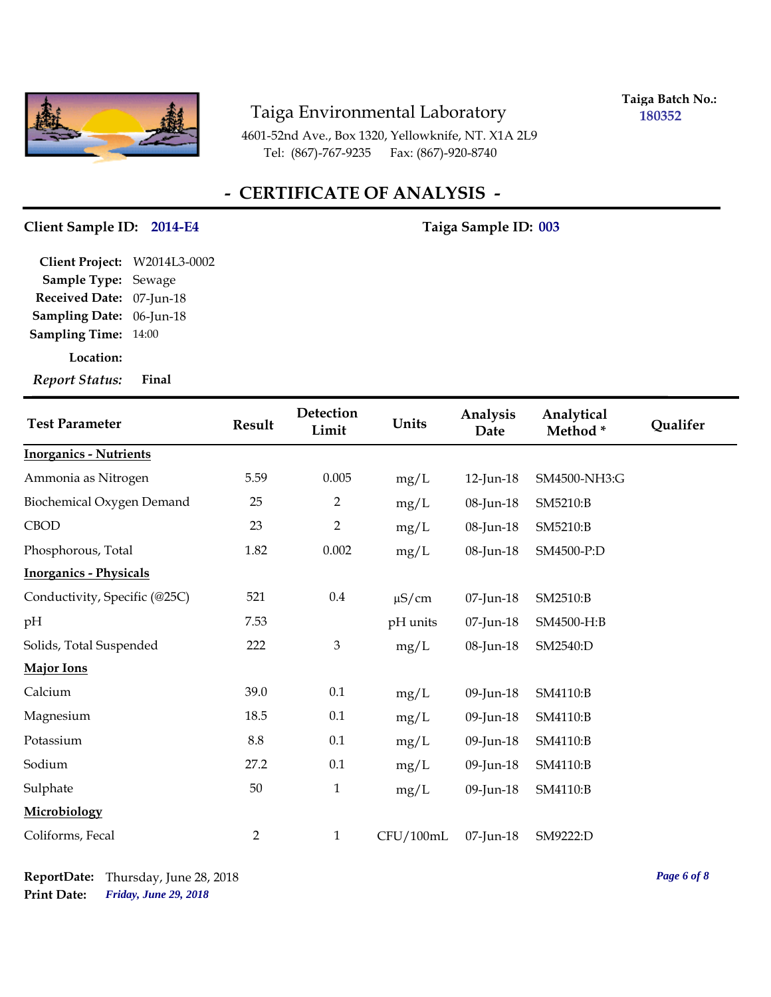

**Taiga Batch No.: 180352**

4601-52nd Ave., Box 1320, Yellowknife, NT. X1A 2L9 Tel: (867)-767-9235 Fax: (867)-920-8740

## **- CERTIFICATE OF ANALYSIS -**

#### **Client Sample ID: 2014-E4 Taiga Sample ID: 003**

**Location: Sampling Date:** 06-Jun-18 **Received Date:** 07-Jun-18 **Client Project:** W2014L3-0002 **Sample Type:** Sewage **Sampling Time:** 14:00

*Report Status:* **Final**

| <b>Test Parameter</b>         | Result         | Detection<br>Limit | Units      | Analysis<br>Date | Analytical<br>Method* | Qualifer |
|-------------------------------|----------------|--------------------|------------|------------------|-----------------------|----------|
| <b>Inorganics - Nutrients</b> |                |                    |            |                  |                       |          |
| Ammonia as Nitrogen           | 5.59           | 0.005              | mg/L       | 12-Jun-18        | SM4500-NH3:G          |          |
| Biochemical Oxygen Demand     | 25             | $\overline{2}$     | mg/L       | 08-Jun-18        | SM5210:B              |          |
| <b>CBOD</b>                   | 23             | $\overline{2}$     | mg/L       | 08-Jun-18        | SM5210:B              |          |
| Phosphorous, Total            | 1.82           | 0.002              | mg/L       | 08-Jun-18        | SM4500-P:D            |          |
| <b>Inorganics - Physicals</b> |                |                    |            |                  |                       |          |
| Conductivity, Specific (@25C) | 521            | $0.4\,$            | $\mu$ S/cm | 07-Jun-18        | SM2510:B              |          |
| pН                            | 7.53           |                    | pH units   | 07-Jun-18        | SM4500-H:B            |          |
| Solids, Total Suspended       | 222            | $\mathfrak{Z}$     | mg/L       | 08-Jun-18        | SM2540:D              |          |
| <b>Major Ions</b>             |                |                    |            |                  |                       |          |
| Calcium                       | 39.0           | 0.1                | mg/L       | 09-Jun-18        | SM4110:B              |          |
| Magnesium                     | 18.5           | 0.1                | mg/L       | 09-Jun-18        | SM4110:B              |          |
| Potassium                     | 8.8            | 0.1                | mg/L       | 09-Jun-18        | SM4110:B              |          |
| Sodium                        | 27.2           | 0.1                | mg/L       | 09-Jun-18        | SM4110:B              |          |
| Sulphate                      | 50             | $\mathbf{1}$       | mg/L       | 09-Jun-18        | SM4110:B              |          |
| Microbiology                  |                |                    |            |                  |                       |          |
| Coliforms, Fecal              | $\overline{2}$ | $\mathbf{1}$       | CFU/100mL  | 07-Jun-18        | SM9222:D              |          |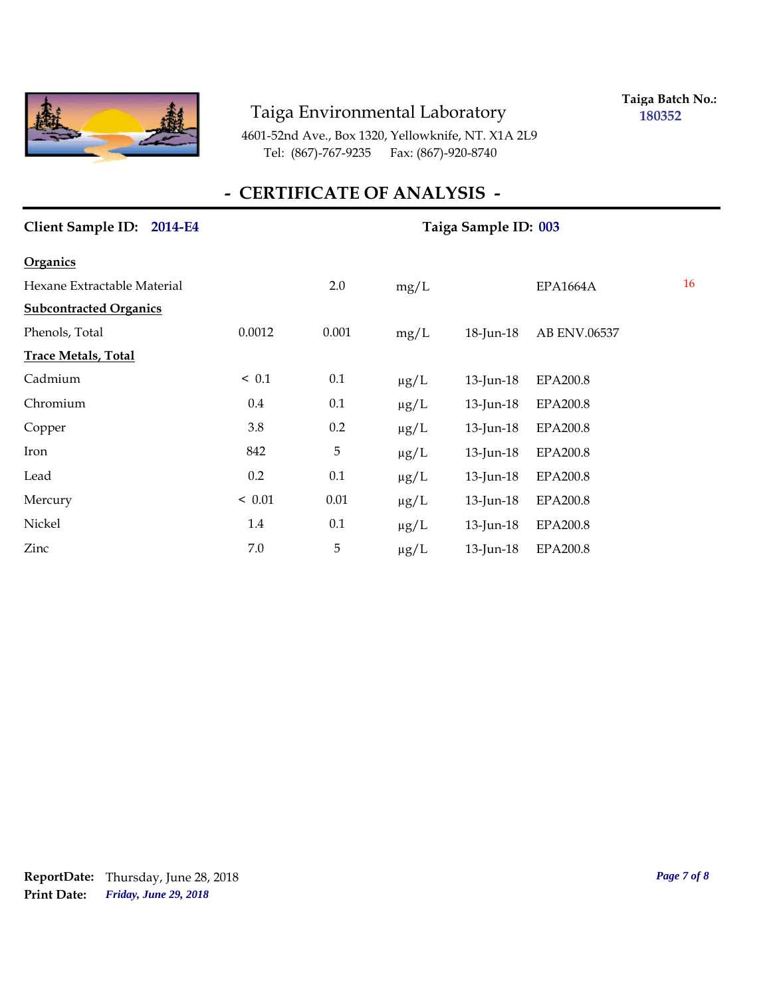

**Taiga Batch No.: 180352**

4601-52nd Ave., Box 1320, Yellowknife, NT. X1A 2L9 Tel: (867)-767-9235 Fax: (867)-920-8740

## **- CERTIFICATE OF ANALYSIS -**

| Client Sample ID: 2014-E4     |        | Taiga Sample ID: 003 |           |              |                 |    |  |
|-------------------------------|--------|----------------------|-----------|--------------|-----------------|----|--|
| <b>Organics</b>               |        |                      |           |              |                 |    |  |
| Hexane Extractable Material   |        | 2.0                  | mg/L      |              | <b>EPA1664A</b> | 16 |  |
| <b>Subcontracted Organics</b> |        |                      |           |              |                 |    |  |
| Phenols, Total                | 0.0012 | 0.001                | mg/L      | 18-Jun-18    | AB ENV.06537    |    |  |
| <b>Trace Metals, Total</b>    |        |                      |           |              |                 |    |  |
| Cadmium                       | < 0.1  | 0.1                  | $\mu g/L$ | 13-Jun-18    | <b>EPA200.8</b> |    |  |
| Chromium                      | 0.4    | 0.1                  | $\mu g/L$ | 13-Jun-18    | <b>EPA200.8</b> |    |  |
| Copper                        | 3.8    | 0.2                  | $\mu g/L$ | 13-Jun-18    | <b>EPA200.8</b> |    |  |
| Iron                          | 842    | $\mathbf 5$          | $\mu g/L$ | $13$ -Jun-18 | <b>EPA200.8</b> |    |  |
| Lead                          | 0.2    | 0.1                  | $\mu g/L$ | 13-Jun-18    | <b>EPA200.8</b> |    |  |
| Mercury                       | < 0.01 | 0.01                 | $\mu g/L$ | 13-Jun-18    | <b>EPA200.8</b> |    |  |
| Nickel                        | 1.4    | 0.1                  | $\mu g/L$ | 13-Jun-18    | <b>EPA200.8</b> |    |  |
| Zinc                          | 7.0    | $\overline{5}$       | $\mu$ g/L | $13$ -Jun-18 | <b>EPA200.8</b> |    |  |